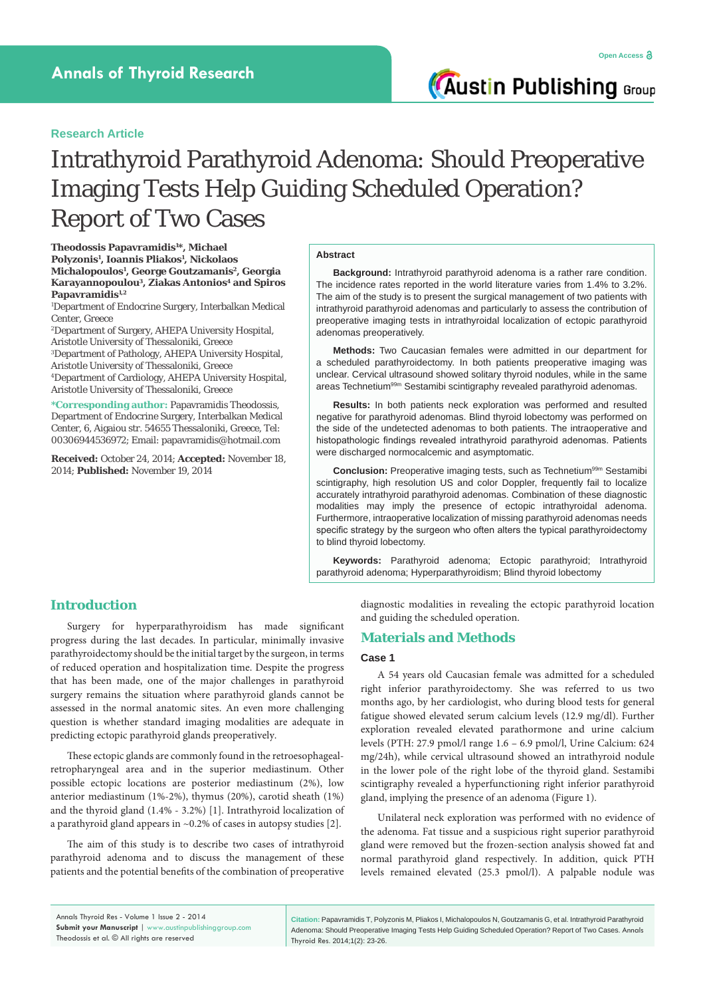**Austin Publishing Group** 

# **Research Article**

# Intrathyroid Parathyroid Adenoma: Should Preoperative Imaging Tests Help Guiding Scheduled Operation? Report of Two Cases

**Theodossis Papavramidis1 \*, Michael Polyzonis1 , Ioannis Pliakos1 , Nickolaos Michalopoulos1 , George Goutzamanis2, Georgia Karayannopoulou3, Ziakas Antonios4 and Spiros**  Papavramidis<sup>1,2</sup>

1 Department of Endocrine Surgery, Interbalkan Medical Center, Greece

2 Department of Surgery, AHEPA University Hospital, Aristotle University of Thessaloniki, Greece

3 Department of Pathology, AHEPA University Hospital, Aristotle University of Thessaloniki, Greece

4 Department of Cardiology, AHEPA University Hospital, Aristotle University of Thessaloniki, Greece

**\*Corresponding author:** Papavramidis Theodossis, Department of Endocrine Surgery, Interbalkan Medical Center, 6, Aigaiou str. 54655 Thessaloniki, Greece, Tel: 00306944536972; Email: papavramidis@hotmail.com

**Received:** October 24, 2014; **Accepted:** November 18, 2014; **Published:** November 19, 2014

### **Abstract**

**Background:** Intrathyroid parathyroid adenoma is a rather rare condition. The incidence rates reported in the world literature varies from 1.4% to 3.2%. The aim of the study is to present the surgical management of two patients with intrathyroid parathyroid adenomas and particularly to assess the contribution of preoperative imaging tests in intrathyroidal localization of ectopic parathyroid adenomas preoperatively.

**Methods:** Two Caucasian females were admitted in our department for a scheduled parathyroidectomy. In both patients preoperative imaging was unclear. Cervical ultrasound showed solitary thyroid nodules, while in the same areas Technetium<sup>99m</sup> Sestamibi scintigraphy revealed parathyroid adenomas.

**Results:** In both patients neck exploration was performed and resulted negative for parathyroid adenomas. Blind thyroid lobectomy was performed on the side of the undetected adenomas to both patients. The intraoperative and histopathologic findings revealed intrathyroid parathyroid adenomas. Patients were discharged normocalcemic and asymptomatic.

Conclusion: Preoperative imaging tests, such as Technetium<sup>99m</sup> Sestamibi scintigraphy, high resolution US and color Doppler, frequently fail to localize accurately intrathyroid parathyroid adenomas. Combination of these diagnostic modalities may imply the presence of ectopic intrathyroidal adenoma. Furthermore, intraoperative localization of missing parathyroid adenomas needs specific strategy by the surgeon who often alters the typical parathyroidectomy to blind thyroid lobectomy.

**Keywords:** Parathyroid adenoma; Ectopic parathyroid; Intrathyroid parathyroid adenoma; Hyperparathyroidism; Blind thyroid lobectomy

# **Introduction**

Surgery for hyperparathyroidism has made significant progress during the last decades. In particular, minimally invasive parathyroidectomy should be the initial target by the surgeon, in terms of reduced operation and hospitalization time. Despite the progress that has been made, one of the major challenges in parathyroid surgery remains the situation where parathyroid glands cannot be assessed in the normal anatomic sites. An even more challenging question is whether standard imaging modalities are adequate in predicting ectopic parathyroid glands preoperatively.

These ectopic glands are commonly found in the retroesophagealretropharyngeal area and in the superior mediastinum. Other possible ectopic locations are posterior mediastinum (2%), low anterior mediastinum (1%-2%), thymus (20%), carotid sheath (1%) and the thyroid gland (1.4% - 3.2%) [1]. Intrathyroid localization of a parathyroid gland appears in  $\sim 0.2\%$  of cases in autopsy studies [2].

The aim of this study is to describe two cases of intrathyroid parathyroid adenoma and to discuss the management of these patients and the potential benefits of the combination of preoperative

diagnostic modalities in revealing the ectopic parathyroid location and guiding the scheduled operation.

# **Materials and Methods**

# **Case 1**

A 54 years old Caucasian female was admitted for a scheduled right inferior parathyroidectomy. She was referred to us two months ago, by her cardiologist, who during blood tests for general fatigue showed elevated serum calcium levels (12.9 mg/dl). Further exploration revealed elevated parathormone and urine calcium levels (PTH: 27.9 pmol/l range 1.6 – 6.9 pmol/l, Urine Calcium: 624 mg/24h), while cervical ultrasound showed an intrathyroid nodule in the lower pole of the right lobe of the thyroid gland. Sestamibi scintigraphy revealed a hyperfunctioning right inferior parathyroid gland, implying the presence of an adenoma (Figure 1).

Unilateral neck exploration was performed with no evidence of the adenoma. Fat tissue and a suspicious right superior parathyroid gland were removed but the frozen-section analysis showed fat and normal parathyroid gland respectively. In addition, quick PTH levels remained elevated (25.3 pmol/l). A palpable nodule was

**Citation:** Papavramidis T, Polyzonis M, Pliakos I, Michalopoulos N, Goutzamanis G, et al. Intrathyroid Parathyroid Adenoma: Should Preoperative Imaging Tests Help Guiding Scheduled Operation? Report of Two Cases. Annals Thyroid Res. 2014;1(2): 23-26.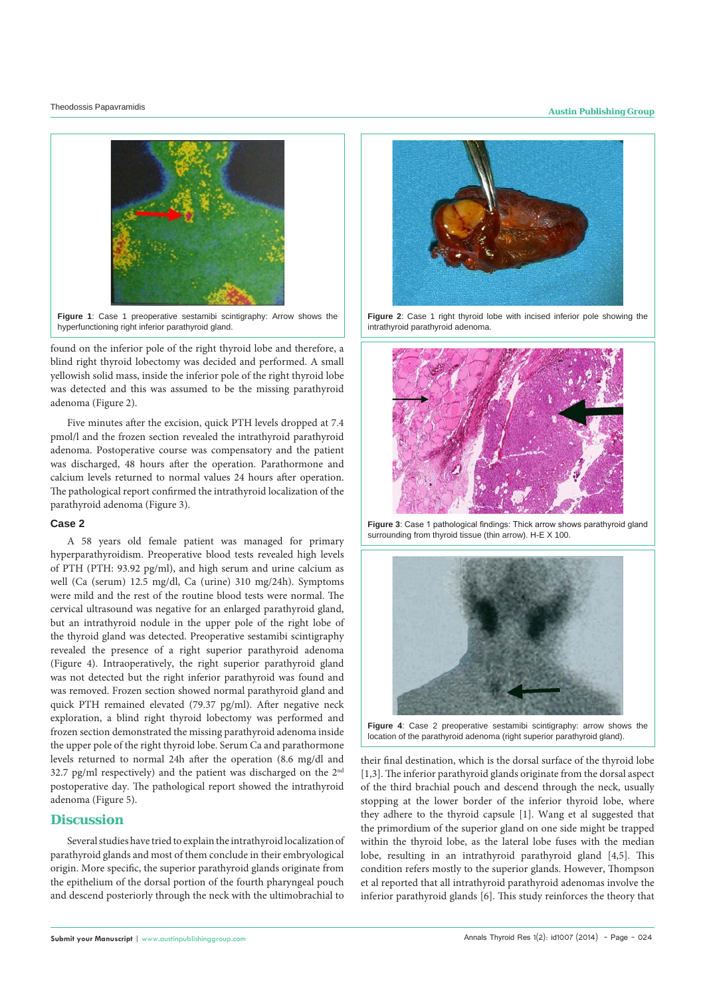# Theodossis Papavramidis **Austin Publishing Group**



**Figure 1**: Case 1 preoperative sestamibi scintigraphy: Arrow shows the hyperfunctioning right inferior parathyroid gland.

found on the inferior pole of the right thyroid lobe and therefore, a blind right thyroid lobectomy was decided and performed. A small yellowish solid mass, inside the inferior pole of the right thyroid lobe was detected and this was assumed to be the missing parathyroid adenoma (Figure 2).

Five minutes after the excision, quick PTH levels dropped at 7.4 pmol/l and the frozen section revealed the intrathyroid parathyroid adenoma. Postoperative course was compensatory and the patient was discharged, 48 hours after the operation. Parathormone and calcium levels returned to normal values 24 hours after operation. The pathological report confirmed the intrathyroid localization of the parathyroid adenoma (Figure 3).

## **Case 2**

A 58 years old female patient was managed for primary hyperparathyroidism. Preoperative blood tests revealed high levels of PTH (PTH: 93.92 pg/ml), and high serum and urine calcium as well (Ca (serum) 12.5 mg/dl, Ca (urine) 310 mg/24h). Symptoms were mild and the rest of the routine blood tests were normal. The cervical ultrasound was negative for an enlarged parathyroid gland, but an intrathyroid nodule in the upper pole of the right lobe of the thyroid gland was detected. Preoperative sestamibi scintigraphy revealed the presence of a right superior parathyroid adenoma (Figure 4). Intraoperatively, the right superior parathyroid gland was not detected but the right inferior parathyroid was found and was removed. Frozen section showed normal parathyroid gland and quick PTH remained elevated (79.37 pg/ml). After negative neck exploration, a blind right thyroid lobectomy was performed and frozen section demonstrated the missing parathyroid adenoma inside the upper pole of the right thyroid lobe. Serum Ca and parathormone levels returned to normal 24h after the operation (8.6 mg/dl and 32.7 pg/ml respectively) and the patient was discharged on the 2nd postoperative day. The pathological report showed the intrathyroid adenoma (Figure 5).

# **Discussion**

Several studies have tried to explain the intrathyroid localization of parathyroid glands and most of them conclude in their embryological origin. More specific, the superior parathyroid glands originate from the epithelium of the dorsal portion of the fourth pharyngeal pouch and descend posteriorly through the neck with the ultimobrachial to



Figure 2: Case 1 right thyroid lobe with incised inferior pole showing the intrathyroid parathyroid adenoma.



**Figure 3**: Case 1 pathological findings: Thick arrow shows parathyroid gland surrounding from thyroid tissue (thin arrow). H-E X 100.



**Figure 4**: Case 2 preoperative sestamibi scintigraphy: arrow shows the location of the parathyroid adenoma (right superior parathyroid gland).

their final destination, which is the dorsal surface of the thyroid lobe [1,3]. The inferior parathyroid glands originate from the dorsal aspect of the third brachial pouch and descend through the neck, usually stopping at the lower border of the inferior thyroid lobe, where they adhere to the thyroid capsule [1]. Wang et al suggested that the primordium of the superior gland on one side might be trapped within the thyroid lobe, as the lateral lobe fuses with the median lobe, resulting in an intrathyroid parathyroid gland [4,5]. This condition refers mostly to the superior glands. However, Thompson et al reported that all intrathyroid parathyroid adenomas involve the inferior parathyroid glands [6]. This study reinforces the theory that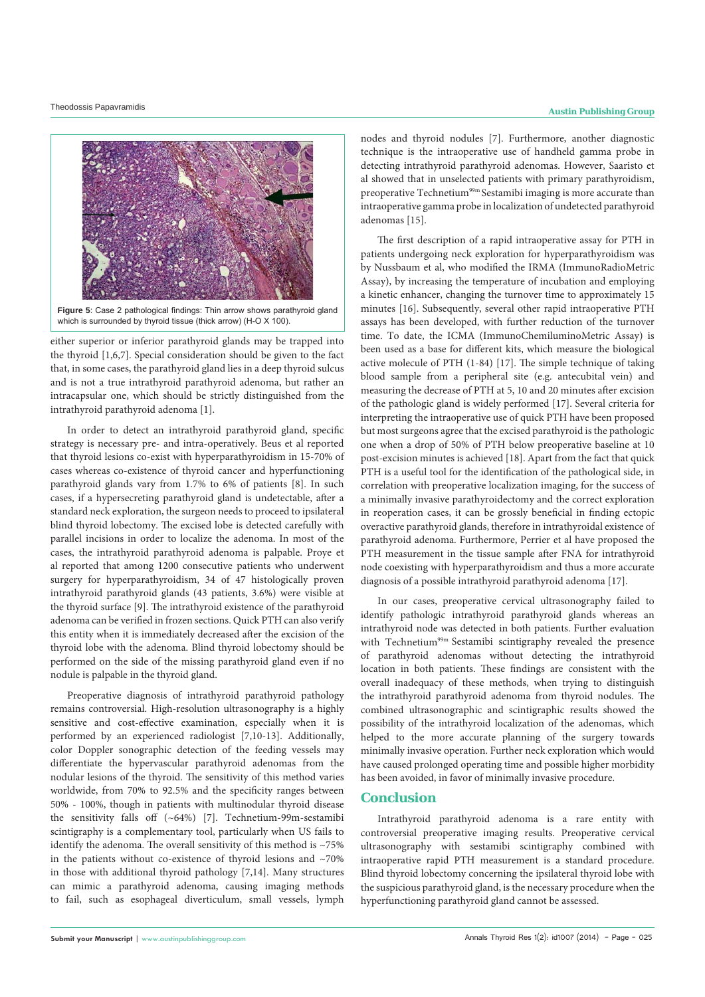



either superior or inferior parathyroid glands may be trapped into the thyroid [1,6,7]. Special consideration should be given to the fact that, in some cases, the parathyroid gland lies in a deep thyroid sulcus and is not a true intrathyroid parathyroid adenoma, but rather an intracapsular one, which should be strictly distinguished from the intrathyroid parathyroid adenoma [1].

In order to detect an intrathyroid parathyroid gland, specific strategy is necessary pre- and intra-operatively. Beus et al reported that thyroid lesions co-exist with hyperparathyroidism in 15-70% of cases whereas co-existence of thyroid cancer and hyperfunctioning parathyroid glands vary from 1.7% to 6% of patients [8]. In such cases, if a hypersecreting parathyroid gland is undetectable, after a standard neck exploration, the surgeon needs to proceed to ipsilateral blind thyroid lobectomy. The excised lobe is detected carefully with parallel incisions in order to localize the adenoma. In most of the cases, the intrathyroid parathyroid adenoma is palpable. Proye et al reported that among 1200 consecutive patients who underwent surgery for hyperparathyroidism, 34 of 47 histologically proven intrathyroid parathyroid glands (43 patients, 3.6%) were visible at the thyroid surface [9]. The intrathyroid existence of the parathyroid adenoma can be verified in frozen sections. Quick PTH can also verify this entity when it is immediately decreased after the excision of the thyroid lobe with the adenoma. Blind thyroid lobectomy should be performed on the side of the missing parathyroid gland even if no nodule is palpable in the thyroid gland.

Preoperative diagnosis of intrathyroid parathyroid pathology remains controversial. High-resolution ultrasonography is a highly sensitive and cost-effective examination, especially when it is performed by an experienced radiologist [7,10-13]. Additionally, color Doppler sonographic detection of the feeding vessels may differentiate the hypervascular parathyroid adenomas from the nodular lesions of the thyroid. The sensitivity of this method varies worldwide, from 70% to 92.5% and the specificity ranges between 50% - 100%, though in patients with multinodular thyroid disease the sensitivity falls off (~64%) [7]. Technetium-99m-sestamibi scintigraphy is a complementary tool, particularly when US fails to identify the adenoma. The overall sensitivity of this method is  $~175\%$ in the patients without co-existence of thyroid lesions and  $~170\%$ in those with additional thyroid pathology [7,14]. Many structures can mimic a parathyroid adenoma, causing imaging methods to fail, such as esophageal diverticulum, small vessels, lymph nodes and thyroid nodules [7]. Furthermore, another diagnostic technique is the intraoperative use of handheld gamma probe in detecting intrathyroid parathyroid adenomas. However, Saaristo et al showed that in unselected patients with primary parathyroidism, preoperative Technetium<sup>99m</sup> Sestamibi imaging is more accurate than intraoperative gamma probe in localization of undetected parathyroid adenomas [15].

The first description of a rapid intraoperative assay for PTH in patients undergoing neck exploration for hyperparathyroidism was by Nussbaum et al, who modified the IRMA (ImmunoRadioMetric Assay), by increasing the temperature of incubation and employing a kinetic enhancer, changing the turnover time to approximately 15 minutes [16]. Subsequently, several other rapid intraoperative PTH assays has been developed, with further reduction of the turnover time. To date, the ICMA (ImmunoChemiluminoMetric Assay) is been used as a base for different kits, which measure the biological active molecule of PTH (1-84) [17]. The simple technique of taking blood sample from a peripheral site (e.g. antecubital vein) and measuring the decrease of PTH at 5, 10 and 20 minutes after excision of the pathologic gland is widely performed [17]. Several criteria for interpreting the intraoperative use of quick PTH have been proposed but most surgeons agree that the excised parathyroid is the pathologic one when a drop of 50% of PTH below preoperative baseline at 10 post-excision minutes is achieved [18]. Apart from the fact that quick PTH is a useful tool for the identification of the pathological side, in correlation with preoperative localization imaging, for the success of a minimally invasive parathyroidectomy and the correct exploration in reoperation cases, it can be grossly beneficial in finding ectopic overactive parathyroid glands, therefore in intrathyroidal existence of parathyroid adenoma. Furthermore, Perrier et al have proposed the PTH measurement in the tissue sample after FNA for intrathyroid node coexisting with hyperparathyroidism and thus a more accurate diagnosis of a possible intrathyroid parathyroid adenoma [17].

In our cases, preoperative cervical ultrasonography failed to identify pathologic intrathyroid parathyroid glands whereas an intrathyroid node was detected in both patients. Further evaluation with Technetium<sup>99m</sup> Sestamibi scintigraphy revealed the presence of parathyroid adenomas without detecting the intrathyroid location in both patients. These findings are consistent with the overall inadequacy of these methods, when trying to distinguish the intrathyroid parathyroid adenoma from thyroid nodules. The combined ultrasonographic and scintigraphic results showed the possibility of the intrathyroid localization of the adenomas, which helped to the more accurate planning of the surgery towards minimally invasive operation. Further neck exploration which would have caused prolonged operating time and possible higher morbidity has been avoided, in favor of minimally invasive procedure.

# **Conclusion**

Intrathyroid parathyroid adenoma is a rare entity with controversial preoperative imaging results. Preoperative cervical ultrasonography with sestamibi scintigraphy combined with intraoperative rapid PTH measurement is a standard procedure. Blind thyroid lobectomy concerning the ipsilateral thyroid lobe with the suspicious parathyroid gland, is the necessary procedure when the hyperfunctioning parathyroid gland cannot be assessed.